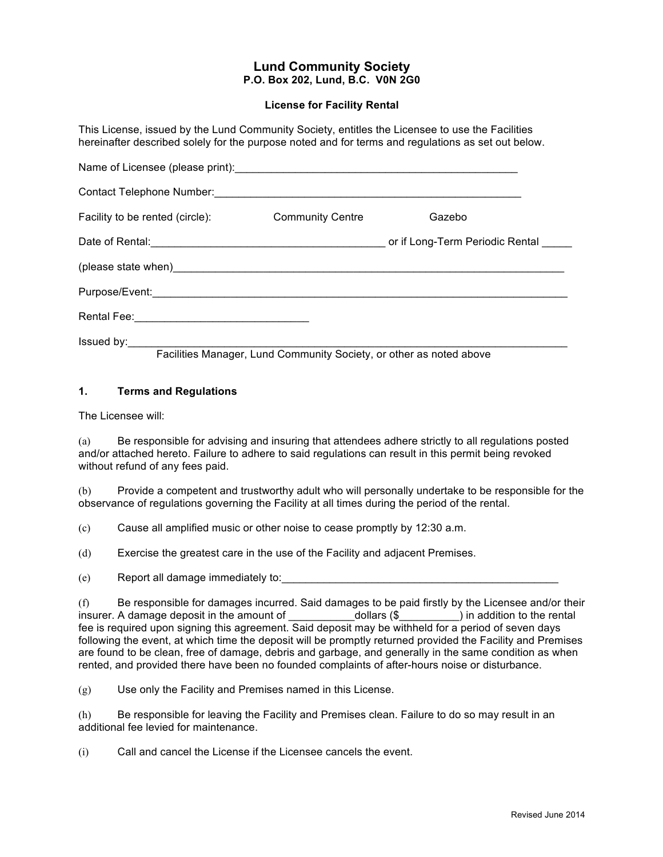# **Lund Community Society P.O. Box 202, Lund, B.C. V0N 2G0**

#### **License for Facility Rental**

This License, issued by the Lund Community Society, entitles the Licensee to use the Facilities hereinafter described solely for the purpose noted and for terms and regulations as set out below.

| Facility to be rented (circle): | <b>Community Centre</b>                                             | Gazebo |
|---------------------------------|---------------------------------------------------------------------|--------|
|                                 |                                                                     |        |
|                                 |                                                                     |        |
|                                 |                                                                     |        |
|                                 |                                                                     |        |
|                                 | Facilities Manager, Lund Community Society, or other as noted above |        |
|                                 |                                                                     |        |

#### **1. Terms and Regulations**

The Licensee will:

(a) Be responsible for advising and insuring that attendees adhere strictly to all regulations posted and/or attached hereto. Failure to adhere to said regulations can result in this permit being revoked without refund of any fees paid.

(b) Provide a competent and trustworthy adult who will personally undertake to be responsible for the observance of regulations governing the Facility at all times during the period of the rental.

(c) Cause all amplified music or other noise to cease promptly by 12:30 a.m.

(d) Exercise the greatest care in the use of the Facility and adjacent Premises.

(e) Report all damage immediately to:

(f) Be responsible for damages incurred. Said damages to be paid firstly by the Licensee and/or their insurer. A damage deposit in the amount of \_\_\_\_\_\_\_\_\_\_\_\_\_dollars (\$\_\_\_\_\_\_\_\_\_) in addition to the rental fee is required upon signing this agreement. Said deposit may be withheld for a period of seven days following the event, at which time the deposit will be promptly returned provided the Facility and Premises are found to be clean, free of damage, debris and garbage, and generally in the same condition as when rented, and provided there have been no founded complaints of after-hours noise or disturbance.

(g) Use only the Facility and Premises named in this License.

(h) Be responsible for leaving the Facility and Premises clean. Failure to do so may result in an additional fee levied for maintenance.

(i) Call and cancel the License if the Licensee cancels the event.